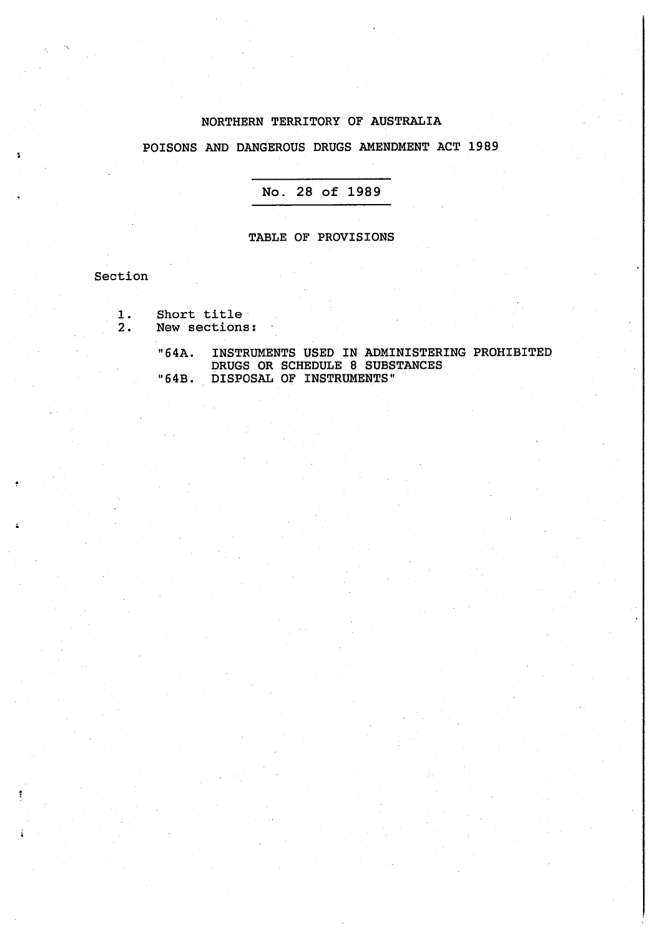#### NORTHERN TERRITORY OF AUSTRALIA

### POISONS AND DANGEROUS DRUGS AMENDMENT ACT 1989

#### **No. 28 of 1989**

#### TABLE OF PROVISIONS

Section

- 1. Short title<br>2. New sections
	- New sections:

"64A. INSTRUMENTS USED IN ADMINISTERING PROHIBITED DRUGS OR SCHEDULE 8 SUBSTANCES "64B. DISPOSAL OF INSTRUMENTS"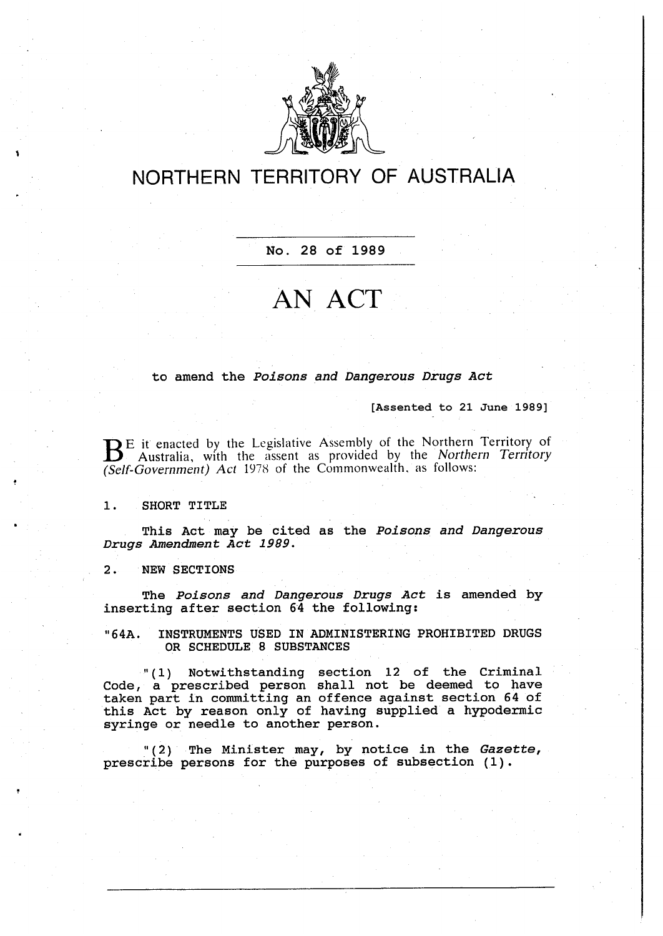

## **NORTHERN TERRITORY OF AUSTRALIA**

**No. 28 of 1989**

# **AN ACT**

to amend the *Poisons and Dangerous Drugs Act* 

**[Assented to 21 June 1989]**

 $B<sup>E</sup>$  it enacted by the Legislative Assembly of the Northern Territory of Australia, with the assent as provided by the *Northern Territory (Self-Government) Act* 1978 of the Commonwealth, as follows:

**1. SHORT TITLE** 

**This Act may be cited as the** *Poisons and Dangerous Drugs Amendment Act 1989.* 

**2. NEW SECTIONS** 

**The** *Poisons and Dangerous Drugs Act* **is amended by inserting after section 64 the following:** 

**<sup>11</sup> 64A. INSTRUMENTS USED IN ADMINISTERING PROHIBITED DRUGS OR SCHEDULE 8 SUBSTANCES** 

11 ( 1) **Notwithstanding section 12 of the Criminal Code, a prescribed person shall not be deemed to have taken part in committing an offence against section 64** of **this Act by reason only of having supplied a hypodermic syringe or needle to another person.** 

11 ( **2) The Minister may, by notice in the** *Gazette,*  **prescribe persons for the purposes of subsection (1).**